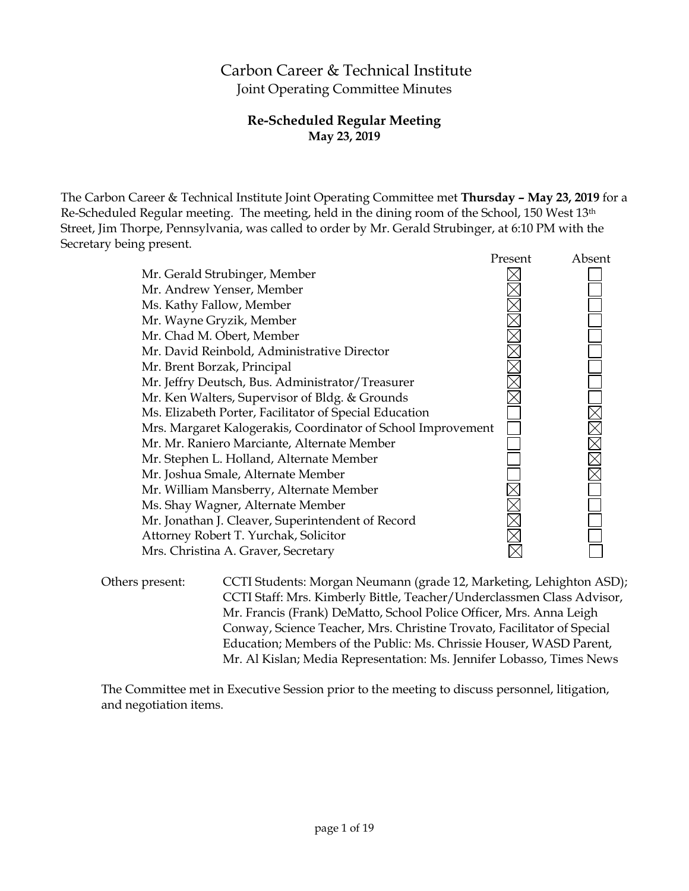# Carbon Career & Technical Institute Joint Operating Committee Minutes

## **Re-Scheduled Regular Meeting May 23, 2019**

The Carbon Career & Technical Institute Joint Operating Committee met **Thursday – May 23, 2019** for a Re-Scheduled Regular meeting. The meeting, held in the dining room of the School, 150 West 13th Street, Jim Thorpe, Pennsylvania, was called to order by Mr. Gerald Strubinger, at 6:10 PM with the Secretary being present.

|                                                              | Present | Absent |
|--------------------------------------------------------------|---------|--------|
| Mr. Gerald Strubinger, Member                                |         |        |
| Mr. Andrew Yenser, Member                                    |         |        |
| Ms. Kathy Fallow, Member                                     |         |        |
| Mr. Wayne Gryzik, Member                                     |         |        |
| Mr. Chad M. Obert, Member                                    |         |        |
| Mr. David Reinbold, Administrative Director                  |         |        |
| Mr. Brent Borzak, Principal                                  |         |        |
| Mr. Jeffry Deutsch, Bus. Administrator/Treasurer             |         |        |
| Mr. Ken Walters, Supervisor of Bldg. & Grounds               |         |        |
| Ms. Elizabeth Porter, Facilitator of Special Education       |         |        |
| Mrs. Margaret Kalogerakis, Coordinator of School Improvement |         |        |
| Mr. Mr. Raniero Marciante, Alternate Member                  |         |        |
| Mr. Stephen L. Holland, Alternate Member                     |         |        |
| Mr. Joshua Smale, Alternate Member                           |         |        |
| Mr. William Mansberry, Alternate Member                      |         |        |
| Ms. Shay Wagner, Alternate Member                            |         |        |
| Mr. Jonathan J. Cleaver, Superintendent of Record            |         |        |
| Attorney Robert T. Yurchak, Solicitor                        |         |        |
| Mrs. Christina A. Graver, Secretary                          |         |        |
|                                                              |         |        |

Others present: CCTI Students: Morgan Neumann (grade 12, Marketing, Lehighton ASD); CCTI Staff: Mrs. Kimberly Bittle, Teacher/Underclassmen Class Advisor, Mr. Francis (Frank) DeMatto, School Police Officer, Mrs. Anna Leigh Conway, Science Teacher, Mrs. Christine Trovato, Facilitator of Special Education; Members of the Public: Ms. Chrissie Houser, WASD Parent, Mr. Al Kislan; Media Representation: Ms. Jennifer Lobasso, Times News

The Committee met in Executive Session prior to the meeting to discuss personnel, litigation, and negotiation items.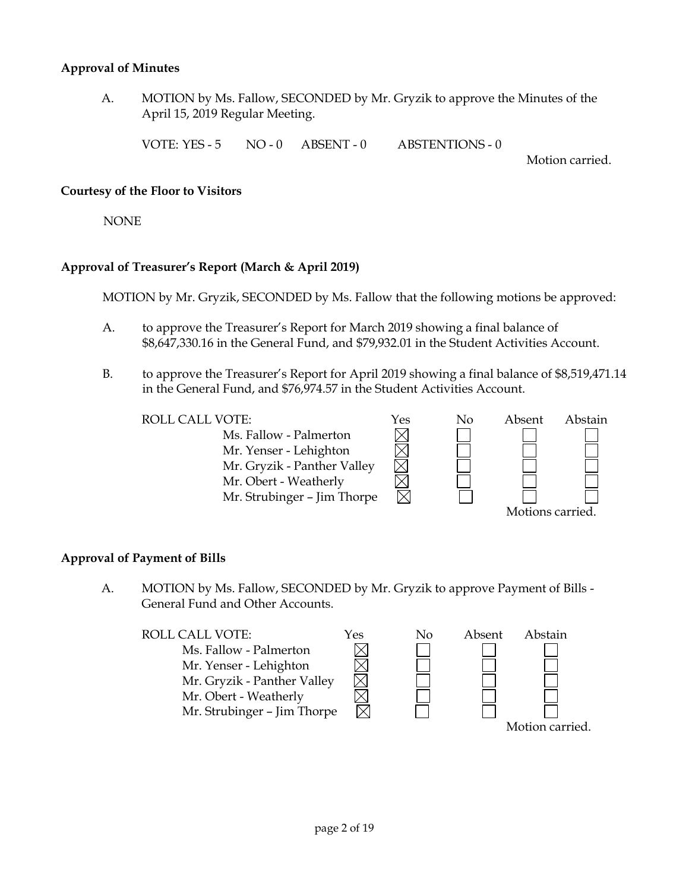#### **Approval of Minutes**

A. MOTION by Ms. Fallow, SECONDED by Mr. Gryzik to approve the Minutes of the April 15, 2019 Regular Meeting.

VOTE: YES - 5 NO - 0 ABSENT - 0 ABSTENTIONS - 0

Motion carried.

#### **Courtesy of the Floor to Visitors**

NONE

#### **Approval of Treasurer's Report (March & April 2019)**

MOTION by Mr. Gryzik, SECONDED by Ms. Fallow that the following motions be approved:

- A. to approve the Treasurer's Report for March 2019 showing a final balance of \$8,647,330.16 in the General Fund, and \$79,932.01 in the Student Activities Account.
- B. to approve the Treasurer's Report for April 2019 showing a final balance of \$8,519,471.14 in the General Fund, and \$76,974.57 in the Student Activities Account.

Ms. Fallow - Palmerton Mr. Yenser - Lehighton Mr. Gryzik - Panther Valley Mr. Obert - Weatherly Mr. Strubinger – Jim Thorpe



#### **Approval of Payment of Bills**

A. MOTION by Ms. Fallow, SECONDED by Mr. Gryzik to approve Payment of Bills - General Fund and Other Accounts.

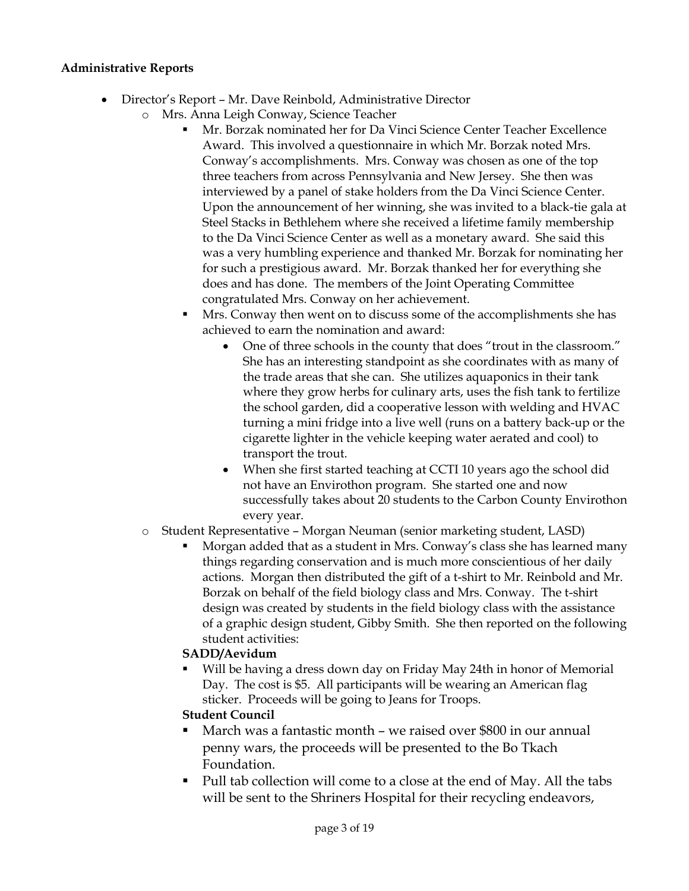## **Administrative Reports**

- Director's Report Mr. Dave Reinbold, Administrative Director
	- o Mrs. Anna Leigh Conway, Science Teacher
		- Mr. Borzak nominated her for Da Vinci Science Center Teacher Excellence Award. This involved a questionnaire in which Mr. Borzak noted Mrs. Conway's accomplishments. Mrs. Conway was chosen as one of the top three teachers from across Pennsylvania and New Jersey. She then was interviewed by a panel of stake holders from the Da Vinci Science Center. Upon the announcement of her winning, she was invited to a black-tie gala at Steel Stacks in Bethlehem where she received a lifetime family membership to the Da Vinci Science Center as well as a monetary award. She said this was a very humbling experience and thanked Mr. Borzak for nominating her for such a prestigious award. Mr. Borzak thanked her for everything she does and has done. The members of the Joint Operating Committee congratulated Mrs. Conway on her achievement.
		- Mrs. Conway then went on to discuss some of the accomplishments she has achieved to earn the nomination and award:
			- One of three schools in the county that does "trout in the classroom." She has an interesting standpoint as she coordinates with as many of the trade areas that she can. She utilizes aquaponics in their tank where they grow herbs for culinary arts, uses the fish tank to fertilize the school garden, did a cooperative lesson with welding and HVAC turning a mini fridge into a live well (runs on a battery back-up or the cigarette lighter in the vehicle keeping water aerated and cool) to transport the trout.
			- When she first started teaching at CCTI 10 years ago the school did not have an Envirothon program. She started one and now successfully takes about 20 students to the Carbon County Envirothon every year.
	- o Student Representative Morgan Neuman (senior marketing student, LASD)
		- Morgan added that as a student in Mrs. Conway's class she has learned many things regarding conservation and is much more conscientious of her daily actions. Morgan then distributed the gift of a t-shirt to Mr. Reinbold and Mr. Borzak on behalf of the field biology class and Mrs. Conway. The t-shirt design was created by students in the field biology class with the assistance of a graphic design student, Gibby Smith. She then reported on the following student activities:

## **SADD/Aevidum**

 Will be having a dress down day on Friday May 24th in honor of Memorial Day. The cost is \$5. All participants will be wearing an American flag sticker. Proceeds will be going to Jeans for Troops.

## **Student Council**

- March was a fantastic month we raised over \$800 in our annual penny wars, the proceeds will be presented to the Bo Tkach Foundation.
- Pull tab collection will come to a close at the end of May. All the tabs will be sent to the Shriners Hospital for their recycling endeavors,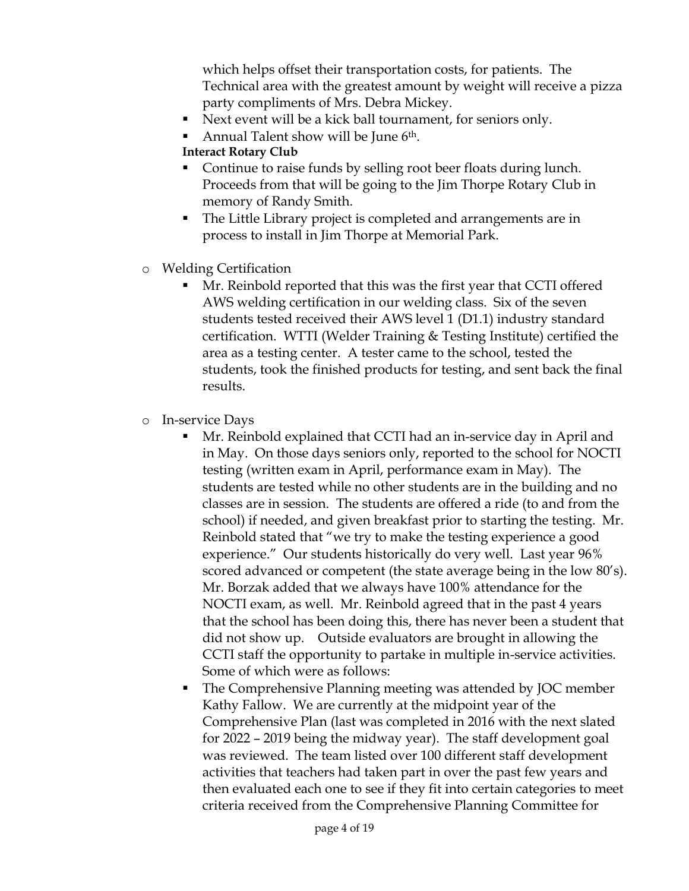which helps offset their transportation costs, for patients. The Technical area with the greatest amount by weight will receive a pizza party compliments of Mrs. Debra Mickey.

- Next event will be a kick ball tournament, for seniors only.
- Annual Talent show will be June 6th.

## **Interact Rotary Club**

- Continue to raise funds by selling root beer floats during lunch. Proceeds from that will be going to the Jim Thorpe Rotary Club in memory of Randy Smith.
- The Little Library project is completed and arrangements are in process to install in Jim Thorpe at Memorial Park.
- o Welding Certification
	- Mr. Reinbold reported that this was the first year that CCTI offered AWS welding certification in our welding class. Six of the seven students tested received their AWS level 1 (D1.1) industry standard certification. WTTI (Welder Training & Testing Institute) certified the area as a testing center. A tester came to the school, tested the students, took the finished products for testing, and sent back the final results.
- o In-service Days
	- Mr. Reinbold explained that CCTI had an in-service day in April and in May. On those days seniors only, reported to the school for NOCTI testing (written exam in April, performance exam in May). The students are tested while no other students are in the building and no classes are in session. The students are offered a ride (to and from the school) if needed, and given breakfast prior to starting the testing. Mr. Reinbold stated that "we try to make the testing experience a good experience." Our students historically do very well. Last year 96% scored advanced or competent (the state average being in the low 80's). Mr. Borzak added that we always have 100% attendance for the NOCTI exam, as well. Mr. Reinbold agreed that in the past 4 years that the school has been doing this, there has never been a student that did not show up. Outside evaluators are brought in allowing the CCTI staff the opportunity to partake in multiple in-service activities. Some of which were as follows:
	- The Comprehensive Planning meeting was attended by JOC member Kathy Fallow. We are currently at the midpoint year of the Comprehensive Plan (last was completed in 2016 with the next slated for 2022 – 2019 being the midway year). The staff development goal was reviewed. The team listed over 100 different staff development activities that teachers had taken part in over the past few years and then evaluated each one to see if they fit into certain categories to meet criteria received from the Comprehensive Planning Committee for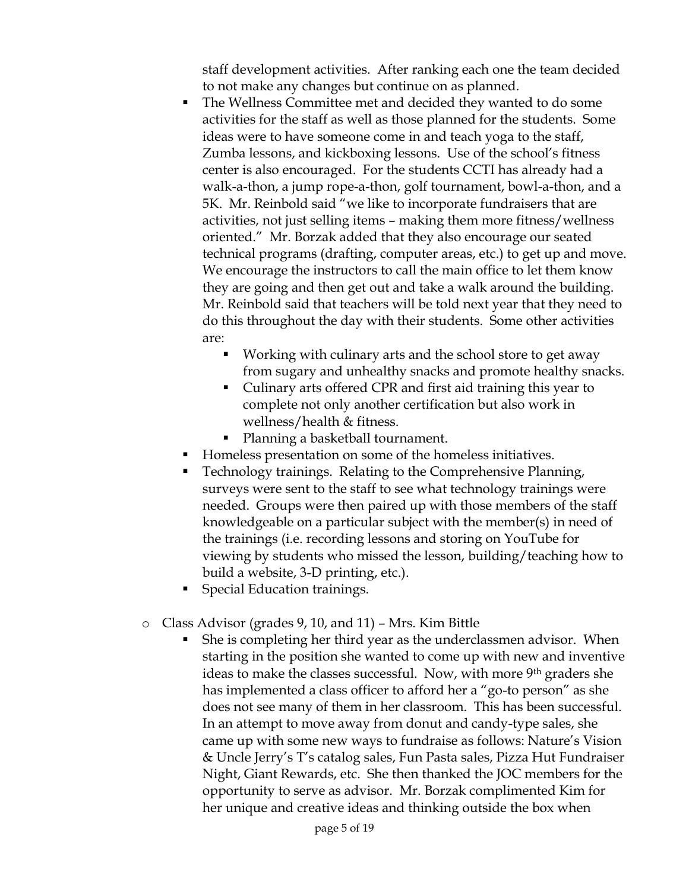staff development activities. After ranking each one the team decided to not make any changes but continue on as planned.

- The Wellness Committee met and decided they wanted to do some activities for the staff as well as those planned for the students. Some ideas were to have someone come in and teach yoga to the staff, Zumba lessons, and kickboxing lessons. Use of the school's fitness center is also encouraged. For the students CCTI has already had a walk-a-thon, a jump rope-a-thon, golf tournament, bowl-a-thon, and a 5K. Mr. Reinbold said "we like to incorporate fundraisers that are activities, not just selling items – making them more fitness/wellness oriented." Mr. Borzak added that they also encourage our seated technical programs (drafting, computer areas, etc.) to get up and move. We encourage the instructors to call the main office to let them know they are going and then get out and take a walk around the building. Mr. Reinbold said that teachers will be told next year that they need to do this throughout the day with their students. Some other activities are:
	- Working with culinary arts and the school store to get away from sugary and unhealthy snacks and promote healthy snacks.
	- Culinary arts offered CPR and first aid training this year to complete not only another certification but also work in wellness/health & fitness.
	- Planning a basketball tournament.
- Homeless presentation on some of the homeless initiatives.
- Technology trainings. Relating to the Comprehensive Planning, surveys were sent to the staff to see what technology trainings were needed. Groups were then paired up with those members of the staff knowledgeable on a particular subject with the member(s) in need of the trainings (i.e. recording lessons and storing on YouTube for viewing by students who missed the lesson, building/teaching how to build a website, 3-D printing, etc.).
- Special Education trainings.
- o Class Advisor (grades 9, 10, and 11) Mrs. Kim Bittle
	- She is completing her third year as the underclassmen advisor. When starting in the position she wanted to come up with new and inventive ideas to make the classes successful. Now, with more 9<sup>th</sup> graders she has implemented a class officer to afford her a "go-to person" as she does not see many of them in her classroom. This has been successful. In an attempt to move away from donut and candy-type sales, she came up with some new ways to fundraise as follows: Nature's Vision & Uncle Jerry's T's catalog sales, Fun Pasta sales, Pizza Hut Fundraiser Night, Giant Rewards, etc. She then thanked the JOC members for the opportunity to serve as advisor. Mr. Borzak complimented Kim for her unique and creative ideas and thinking outside the box when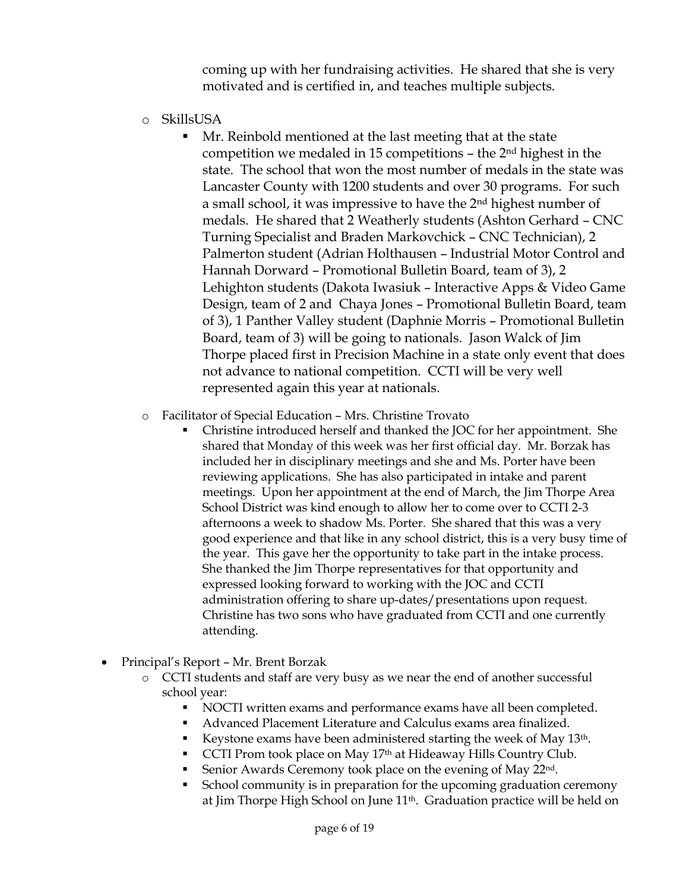coming up with her fundraising activities. He shared that she is very motivated and is certified in, and teaches multiple subjects.

- o SkillsUSA
	- Mr. Reinbold mentioned at the last meeting that at the state competition we medaled in 15 competitions – the 2nd highest in the state. The school that won the most number of medals in the state was Lancaster County with 1200 students and over 30 programs. For such a small school, it was impressive to have the 2nd highest number of medals. He shared that 2 Weatherly students (Ashton Gerhard – CNC Turning Specialist and Braden Markovchick – CNC Technician), 2 Palmerton student (Adrian Holthausen – Industrial Motor Control and Hannah Dorward – Promotional Bulletin Board, team of 3), 2 Lehighton students (Dakota Iwasiuk – Interactive Apps & Video Game Design, team of 2 and Chaya Jones – Promotional Bulletin Board, team of 3), 1 Panther Valley student (Daphnie Morris – Promotional Bulletin Board, team of 3) will be going to nationals. Jason Walck of Jim Thorpe placed first in Precision Machine in a state only event that does not advance to national competition. CCTI will be very well represented again this year at nationals.
- o Facilitator of Special Education Mrs. Christine Trovato
	- Christine introduced herself and thanked the JOC for her appointment. She shared that Monday of this week was her first official day. Mr. Borzak has included her in disciplinary meetings and she and Ms. Porter have been reviewing applications. She has also participated in intake and parent meetings. Upon her appointment at the end of March, the Jim Thorpe Area School District was kind enough to allow her to come over to CCTI 2-3 afternoons a week to shadow Ms. Porter. She shared that this was a very good experience and that like in any school district, this is a very busy time of the year. This gave her the opportunity to take part in the intake process. She thanked the Jim Thorpe representatives for that opportunity and expressed looking forward to working with the JOC and CCTI administration offering to share up-dates/presentations upon request. Christine has two sons who have graduated from CCTI and one currently attending.
- Principal's Report Mr. Brent Borzak
	- o CCTI students and staff are very busy as we near the end of another successful school year:
		- NOCTI written exams and performance exams have all been completed.
		- Advanced Placement Literature and Calculus exams area finalized.
		- Keystone exams have been administered starting the week of May 13<sup>th</sup>.
		- CCTI Prom took place on May 17<sup>th</sup> at Hideaway Hills Country Club.
		- Senior Awards Ceremony took place on the evening of May 22nd.
		- School community is in preparation for the upcoming graduation ceremony at Jim Thorpe High School on June 11th. Graduation practice will be held on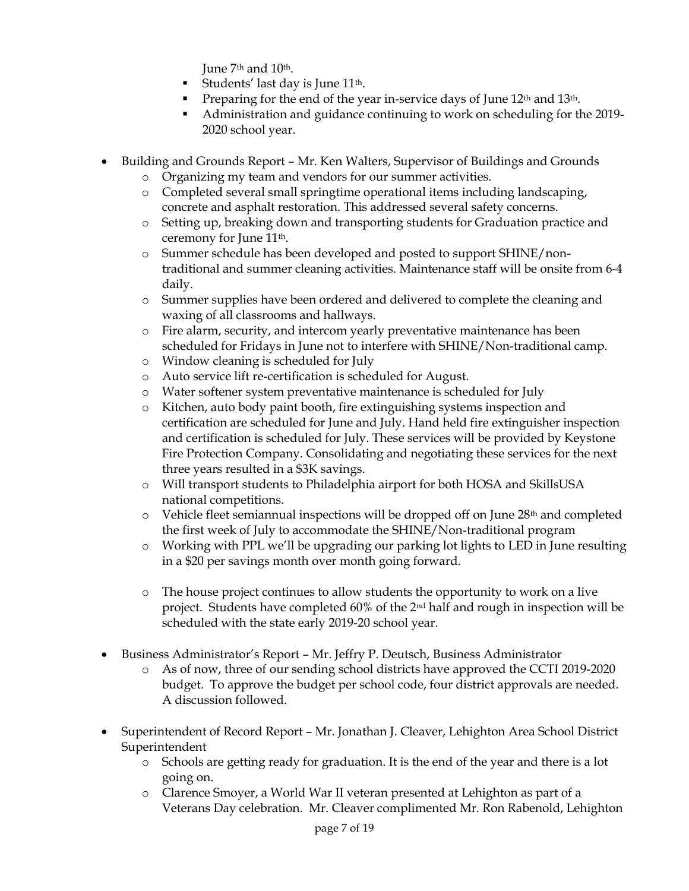June 7<sup>th</sup> and 10<sup>th</sup>.

- Students' last day is June  $11<sup>th</sup>$ .
- Preparing for the end of the year in-service days of June  $12<sup>th</sup>$  and  $13<sup>th</sup>$ .
- Administration and guidance continuing to work on scheduling for the 2019- 2020 school year.
- Building and Grounds Report Mr. Ken Walters, Supervisor of Buildings and Grounds
	- o Organizing my team and vendors for our summer activities.
	- o Completed several small springtime operational items including landscaping, concrete and asphalt restoration. This addressed several safety concerns.
	- o Setting up, breaking down and transporting students for Graduation practice and ceremony for June 11th.
	- o Summer schedule has been developed and posted to support SHINE/nontraditional and summer cleaning activities. Maintenance staff will be onsite from 6-4 daily.
	- o Summer supplies have been ordered and delivered to complete the cleaning and waxing of all classrooms and hallways.
	- o Fire alarm, security, and intercom yearly preventative maintenance has been scheduled for Fridays in June not to interfere with SHINE/Non-traditional camp.
	- o Window cleaning is scheduled for July
	- o Auto service lift re-certification is scheduled for August.
	- o Water softener system preventative maintenance is scheduled for July
	- o Kitchen, auto body paint booth, fire extinguishing systems inspection and certification are scheduled for June and July. Hand held fire extinguisher inspection and certification is scheduled for July. These services will be provided by Keystone Fire Protection Company. Consolidating and negotiating these services for the next three years resulted in a \$3K savings.
	- o Will transport students to Philadelphia airport for both HOSA and SkillsUSA national competitions.
	- o Vehicle fleet semiannual inspections will be dropped off on June 28th and completed the first week of July to accommodate the SHINE/Non-traditional program
	- o Working with PPL we'll be upgrading our parking lot lights to LED in June resulting in a \$20 per savings month over month going forward.
	- o The house project continues to allow students the opportunity to work on a live project. Students have completed 60% of the 2nd half and rough in inspection will be scheduled with the state early 2019-20 school year.
- Business Administrator's Report Mr. Jeffry P. Deutsch, Business Administrator
	- o As of now, three of our sending school districts have approved the CCTI 2019-2020 budget. To approve the budget per school code, four district approvals are needed. A discussion followed.
- Superintendent of Record Report Mr. Jonathan J. Cleaver, Lehighton Area School District Superintendent
	- o Schools are getting ready for graduation. It is the end of the year and there is a lot going on.
	- o Clarence Smoyer, a World War II veteran presented at Lehighton as part of a Veterans Day celebration. Mr. Cleaver complimented Mr. Ron Rabenold, Lehighton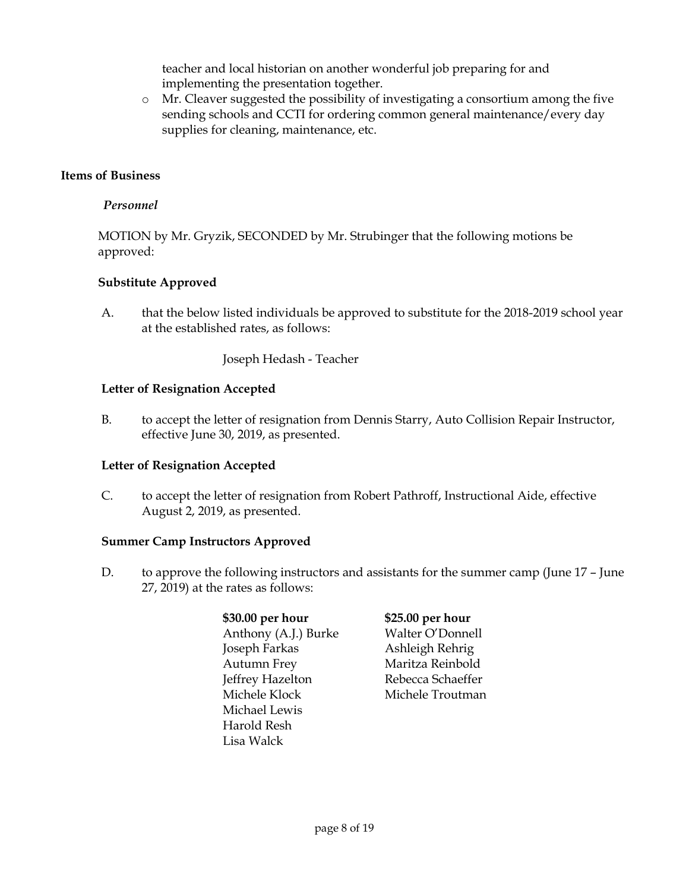teacher and local historian on another wonderful job preparing for and implementing the presentation together.

o Mr. Cleaver suggested the possibility of investigating a consortium among the five sending schools and CCTI for ordering common general maintenance/every day supplies for cleaning, maintenance, etc.

## **Items of Business**

## *Personnel*

MOTION by Mr. Gryzik, SECONDED by Mr. Strubinger that the following motions be approved:

## **Substitute Approved**

A. that the below listed individuals be approved to substitute for the 2018-2019 school year at the established rates, as follows:

Joseph Hedash - Teacher

## **Letter of Resignation Accepted**

B. to accept the letter of resignation from Dennis Starry, Auto Collision Repair Instructor, effective June 30, 2019, as presented.

#### **Letter of Resignation Accepted**

C. to accept the letter of resignation from Robert Pathroff, Instructional Aide, effective August 2, 2019, as presented.

#### **Summer Camp Instructors Approved**

D. to approve the following instructors and assistants for the summer camp (June 17 – June 27, 2019) at the rates as follows:

| \$30.00 per hour     | \$25.00 per hour  |
|----------------------|-------------------|
| Anthony (A.J.) Burke | Walter O'Donnell  |
| Joseph Farkas        | Ashleigh Rehrig   |
| <b>Autumn Frey</b>   | Maritza Reinbold  |
| Jeffrey Hazelton     | Rebecca Schaeffer |
| Michele Klock        | Michele Troutman  |
| Michael Lewis        |                   |
| Harold Resh          |                   |
| Lisa Walck           |                   |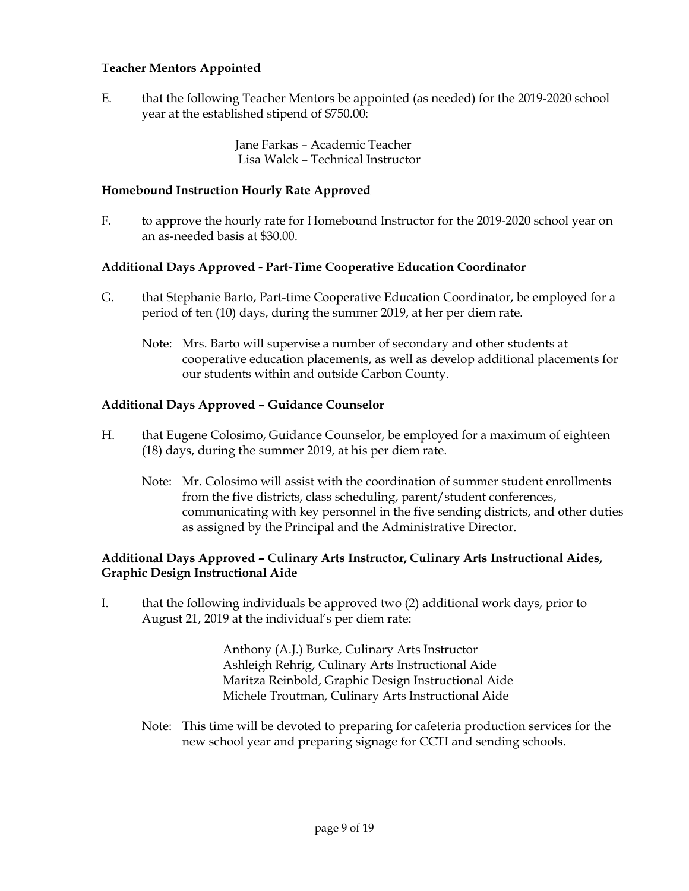## **Teacher Mentors Appointed**

E. that the following Teacher Mentors be appointed (as needed) for the 2019-2020 school year at the established stipend of \$750.00:

> Jane Farkas – Academic Teacher Lisa Walck – Technical Instructor

#### **Homebound Instruction Hourly Rate Approved**

F. to approve the hourly rate for Homebound Instructor for the 2019-2020 school year on an as-needed basis at \$30.00.

## **Additional Days Approved - Part-Time Cooperative Education Coordinator**

- G. that Stephanie Barto, Part-time Cooperative Education Coordinator, be employed for a period of ten (10) days, during the summer 2019, at her per diem rate.
	- Note: Mrs. Barto will supervise a number of secondary and other students at cooperative education placements, as well as develop additional placements for our students within and outside Carbon County.

## **Additional Days Approved – Guidance Counselor**

- H. that Eugene Colosimo, Guidance Counselor, be employed for a maximum of eighteen (18) days, during the summer 2019, at his per diem rate.
	- Note: Mr. Colosimo will assist with the coordination of summer student enrollments from the five districts, class scheduling, parent/student conferences, communicating with key personnel in the five sending districts, and other duties as assigned by the Principal and the Administrative Director.

## **Additional Days Approved – Culinary Arts Instructor, Culinary Arts Instructional Aides, Graphic Design Instructional Aide**

I. that the following individuals be approved two (2) additional work days, prior to August 21, 2019 at the individual's per diem rate:

> Anthony (A.J.) Burke, Culinary Arts Instructor Ashleigh Rehrig, Culinary Arts Instructional Aide Maritza Reinbold, Graphic Design Instructional Aide Michele Troutman, Culinary Arts Instructional Aide

Note: This time will be devoted to preparing for cafeteria production services for the new school year and preparing signage for CCTI and sending schools.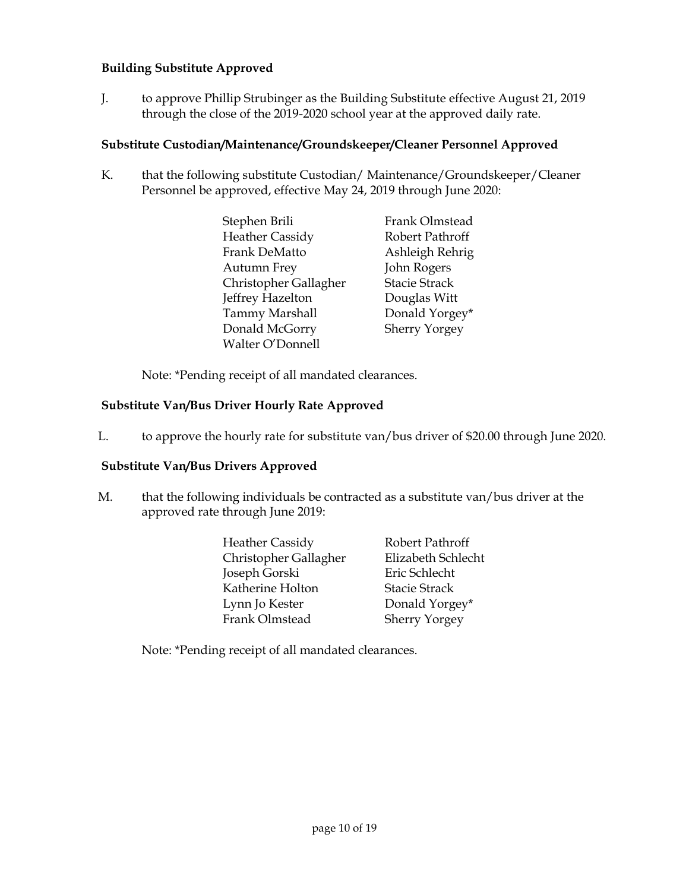## **Building Substitute Approved**

J. to approve Phillip Strubinger as the Building Substitute effective August 21, 2019 through the close of the 2019-2020 school year at the approved daily rate.

#### **Substitute Custodian/Maintenance/Groundskeeper/Cleaner Personnel Approved**

K. that the following substitute Custodian/Maintenance/Groundskeeper/Cleaner Personnel be approved, effective May 24, 2019 through June 2020:

| Stephen Brili          | Frank Olmstead       |
|------------------------|----------------------|
| <b>Heather Cassidy</b> | Robert Pathroff      |
| Frank DeMatto          | Ashleigh Rehrig      |
| <b>Autumn Frey</b>     | John Rogers          |
| Christopher Gallagher  | <b>Stacie Strack</b> |
| Jeffrey Hazelton       | Douglas Witt         |
| <b>Tammy Marshall</b>  | Donald Yorgey*       |
| Donald McGorry         | <b>Sherry Yorgey</b> |
| Walter O'Donnell       |                      |

Note: \*Pending receipt of all mandated clearances.

#### **Substitute Van/Bus Driver Hourly Rate Approved**

L. to approve the hourly rate for substitute van/bus driver of \$20.00 through June 2020.

#### **Substitute Van/Bus Drivers Approved**

M. that the following individuals be contracted as a substitute van/bus driver at the approved rate through June 2019:

| <b>Heather Cassidy</b> | Robert Pathroff      |
|------------------------|----------------------|
| Christopher Gallagher  | Elizabeth Schlecht   |
| Joseph Gorski          | Eric Schlecht        |
| Katherine Holton       | <b>Stacie Strack</b> |
| Lynn Jo Kester         | Donald Yorgey*       |
| Frank Olmstead         | <b>Sherry Yorgey</b> |

Note: \*Pending receipt of all mandated clearances.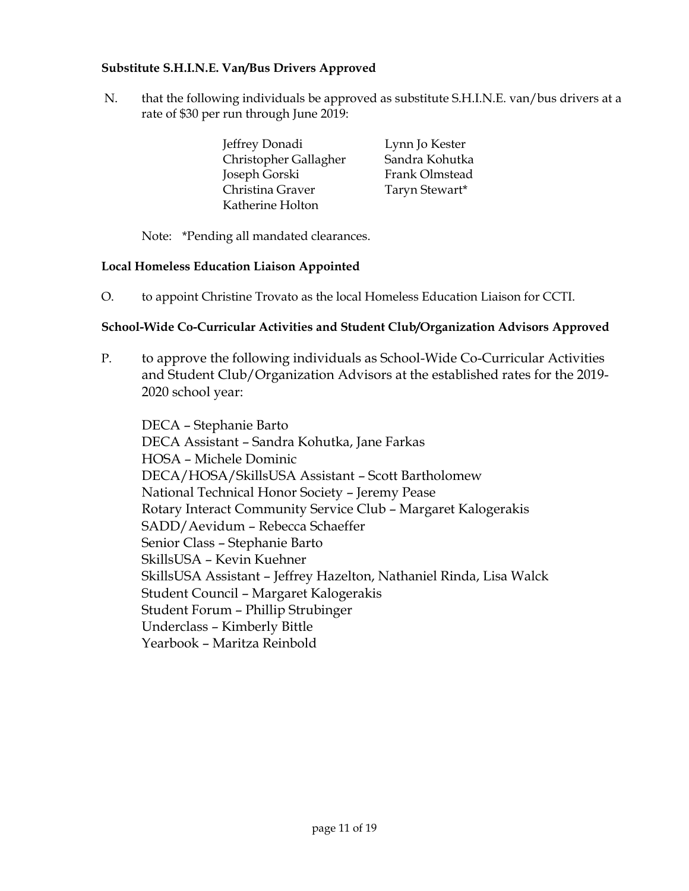## **Substitute S.H.I.N.E. Van/Bus Drivers Approved**

N. that the following individuals be approved as substitute S.H.I.N.E. van/bus drivers at a rate of \$30 per run through June 2019:

| Jeffrey Donadi        | Lynn Jo Kester |
|-----------------------|----------------|
| Christopher Gallagher | Sandra Kohutka |
| Joseph Gorski         | Frank Olmstead |
| Christina Graver      | Taryn Stewart* |
| Katherine Holton      |                |

Note: \*Pending all mandated clearances.

#### **Local Homeless Education Liaison Appointed**

O. to appoint Christine Trovato as the local Homeless Education Liaison for CCTI.

#### **School-Wide Co-Curricular Activities and Student Club/Organization Advisors Approved**

P. to approve the following individuals as School-Wide Co-Curricular Activities and Student Club/Organization Advisors at the established rates for the 2019- 2020 school year:

DECA – Stephanie Barto DECA Assistant – Sandra Kohutka, Jane Farkas HOSA – Michele Dominic DECA/HOSA/SkillsUSA Assistant – Scott Bartholomew National Technical Honor Society – Jeremy Pease Rotary Interact Community Service Club – Margaret Kalogerakis SADD/Aevidum – Rebecca Schaeffer Senior Class – Stephanie Barto SkillsUSA – Kevin Kuehner SkillsUSA Assistant – Jeffrey Hazelton, Nathaniel Rinda, Lisa Walck Student Council – Margaret Kalogerakis Student Forum – Phillip Strubinger Underclass – Kimberly Bittle Yearbook – Maritza Reinbold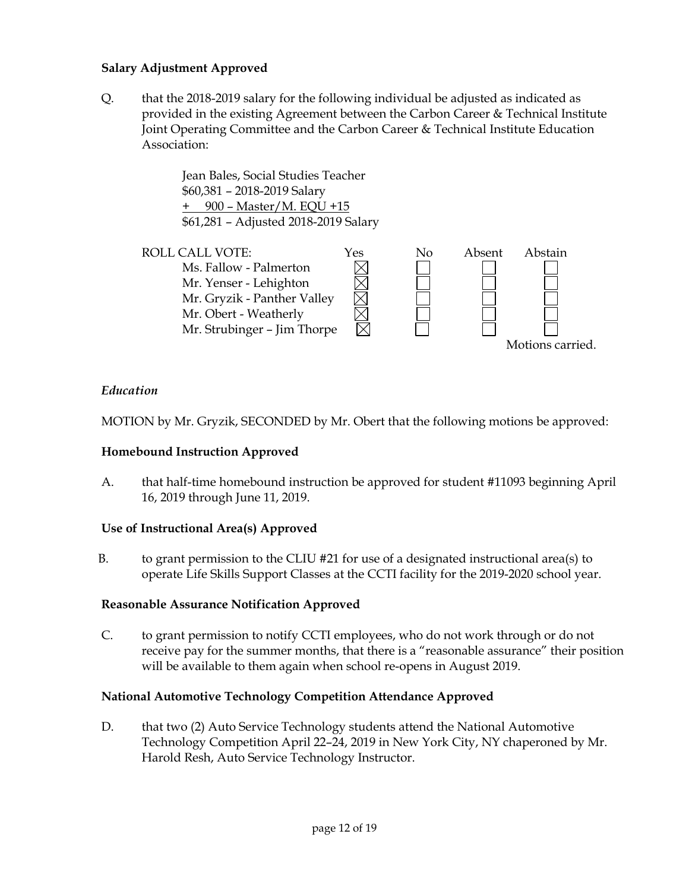## **Salary Adjustment Approved**

Q. that the 2018-2019 salary for the following individual be adjusted as indicated as provided in the existing Agreement between the Carbon Career & Technical Institute Joint Operating Committee and the Carbon Career & Technical Institute Education Association:

> Jean Bales, Social Studies Teacher \$60,381 – 2018-2019 Salary + 900 – Master/M. EQU +15 \$61,281 – Adjusted 2018-2019 Salary



## *Education*

MOTION by Mr. Gryzik, SECONDED by Mr. Obert that the following motions be approved:

#### **Homebound Instruction Approved**

A. that half-time homebound instruction be approved for student #11093 beginning April 16, 2019 through June 11, 2019.

#### **Use of Instructional Area(s) Approved**

B. to grant permission to the CLIU #21 for use of a designated instructional area(s) to operate Life Skills Support Classes at the CCTI facility for the 2019-2020 school year.

#### **Reasonable Assurance Notification Approved**

C. to grant permission to notify CCTI employees, who do not work through or do not receive pay for the summer months, that there is a "reasonable assurance" their position will be available to them again when school re-opens in August 2019.

#### **National Automotive Technology Competition Attendance Approved**

D. that two (2) Auto Service Technology students attend the National Automotive Technology Competition April 22–24, 2019 in New York City, NY chaperoned by Mr. Harold Resh, Auto Service Technology Instructor.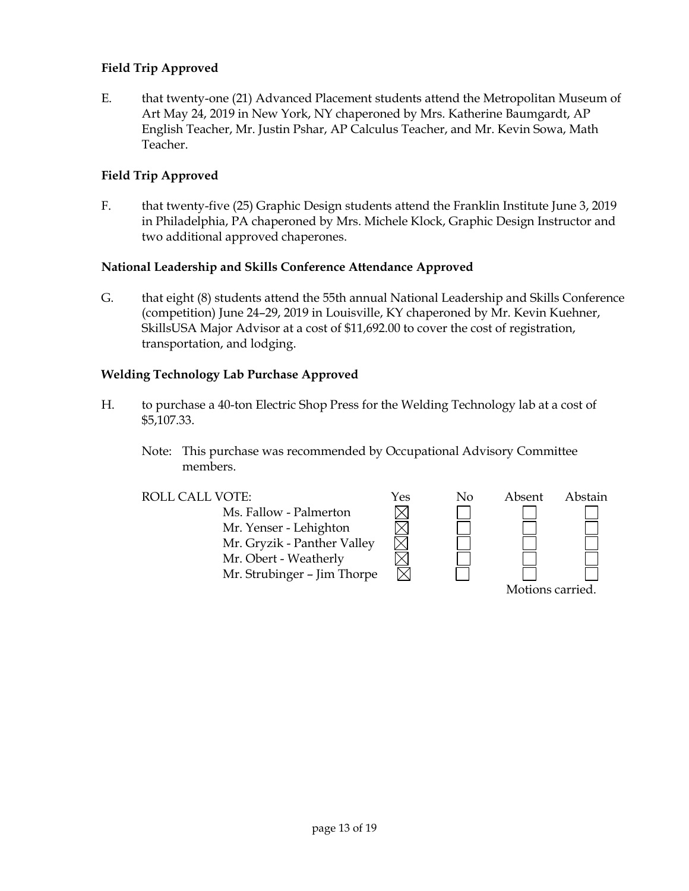## **Field Trip Approved**

E. that twenty-one (21) Advanced Placement students attend the Metropolitan Museum of Art May 24, 2019 in New York, NY chaperoned by Mrs. Katherine Baumgardt, AP English Teacher, Mr. Justin Pshar, AP Calculus Teacher, and Mr. Kevin Sowa, Math Teacher.

## **Field Trip Approved**

F. that twenty-five (25) Graphic Design students attend the Franklin Institute June 3, 2019 in Philadelphia, PA chaperoned by Mrs. Michele Klock, Graphic Design Instructor and two additional approved chaperones.

#### **National Leadership and Skills Conference Attendance Approved**

G. that eight (8) students attend the 55th annual National Leadership and Skills Conference (competition) June 24–29, 2019 in Louisville, KY chaperoned by Mr. Kevin Kuehner, SkillsUSA Major Advisor at a cost of \$11,692.00 to cover the cost of registration, transportation, and lodging.

#### **Welding Technology Lab Purchase Approved**

- H. to purchase a 40-ton Electric Shop Press for the Welding Technology lab at a cost of \$5,107.33.
	- Note: This purchase was recommended by Occupational Advisory Committee members.

Ms. Fallow - Palmerton Mr. Yenser - Lehighton Mr. Gryzik - Panther Valley Mr. Obert - Weatherly Mr. Strubinger – Jim Thorpe

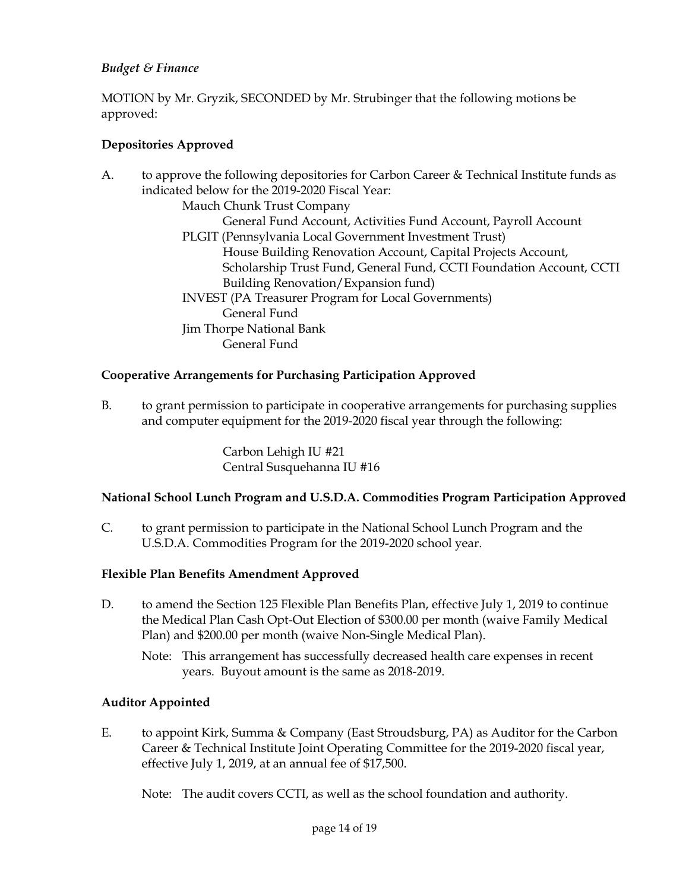## *Budget & Finance*

MOTION by Mr. Gryzik, SECONDED by Mr. Strubinger that the following motions be approved:

## **Depositories Approved**

| A. | to approve the following depositories for Carbon Career & Technical Institute funds as |
|----|----------------------------------------------------------------------------------------|
|    | indicated below for the 2019-2020 Fiscal Year:                                         |
|    | Mauch Chunk Trust Company                                                              |
|    | General Fund Account, Activities Fund Account, Payroll Account                         |
|    | PLGIT (Pennsylvania Local Government Investment Trust)                                 |
|    | House Building Renovation Account, Capital Projects Account,                           |
|    | Scholarship Trust Fund, General Fund, CCTI Foundation Account, CCTI                    |
|    | Building Renovation/Expansion fund)                                                    |
|    | <b>INVEST</b> (PA Treasurer Program for Local Governments)                             |
|    | General Fund                                                                           |
|    | Jim Thorpe National Bank                                                               |
|    | General Fund                                                                           |
|    |                                                                                        |

## **Cooperative Arrangements for Purchasing Participation Approved**

B. to grant permission to participate in cooperative arrangements for purchasing supplies and computer equipment for the 2019-2020 fiscal year through the following:

> Carbon Lehigh IU #21 Central Susquehanna IU #16

#### **National School Lunch Program and U.S.D.A. Commodities Program Participation Approved**

C. to grant permission to participate in the National School Lunch Program and the U.S.D.A. Commodities Program for the 2019-2020 school year.

## **Flexible Plan Benefits Amendment Approved**

- D. to amend the Section 125 Flexible Plan Benefits Plan, effective July 1, 2019 to continue the Medical Plan Cash Opt-Out Election of \$300.00 per month (waive Family Medical Plan) and \$200.00 per month (waive Non-Single Medical Plan).
	- Note: This arrangement has successfully decreased health care expenses in recent years. Buyout amount is the same as 2018-2019.

#### **Auditor Appointed**

E. to appoint Kirk, Summa & Company (East Stroudsburg, PA) as Auditor for the Carbon Career & Technical Institute Joint Operating Committee for the 2019-2020 fiscal year, effective July 1, 2019, at an annual fee of \$17,500.

Note: The audit covers CCTI, as well as the school foundation and authority.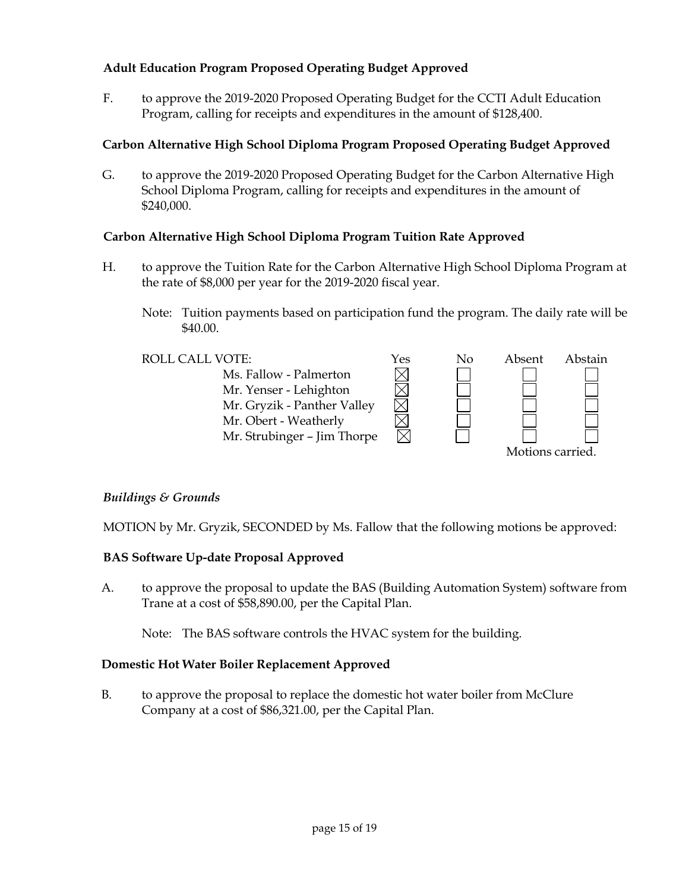## **Adult Education Program Proposed Operating Budget Approved**

F. to approve the 2019-2020 Proposed Operating Budget for the CCTI Adult Education Program, calling for receipts and expenditures in the amount of \$128,400.

## **Carbon Alternative High School Diploma Program Proposed Operating Budget Approved**

G. to approve the 2019-2020 Proposed Operating Budget for the Carbon Alternative High School Diploma Program, calling for receipts and expenditures in the amount of \$240,000.

## **Carbon Alternative High School Diploma Program Tuition Rate Approved**

- H. to approve the Tuition Rate for the Carbon Alternative High School Diploma Program at the rate of \$8,000 per year for the 2019-2020 fiscal year.
	- Note: Tuition payments based on participation fund the program. The daily rate will be \$40.00.



Mr. Strubinger – Jim Thorpe



## *Buildings & Grounds*

MOTION by Mr. Gryzik, SECONDED by Ms. Fallow that the following motions be approved:

## **BAS Software Up-date Proposal Approved**

A. to approve the proposal to update the BAS (Building Automation System) software from Trane at a cost of \$58,890.00, per the Capital Plan.

Note: The BAS software controls the HVAC system for the building.

## **Domestic Hot Water Boiler Replacement Approved**

B. to approve the proposal to replace the domestic hot water boiler from McClure Company at a cost of \$86,321.00, per the Capital Plan.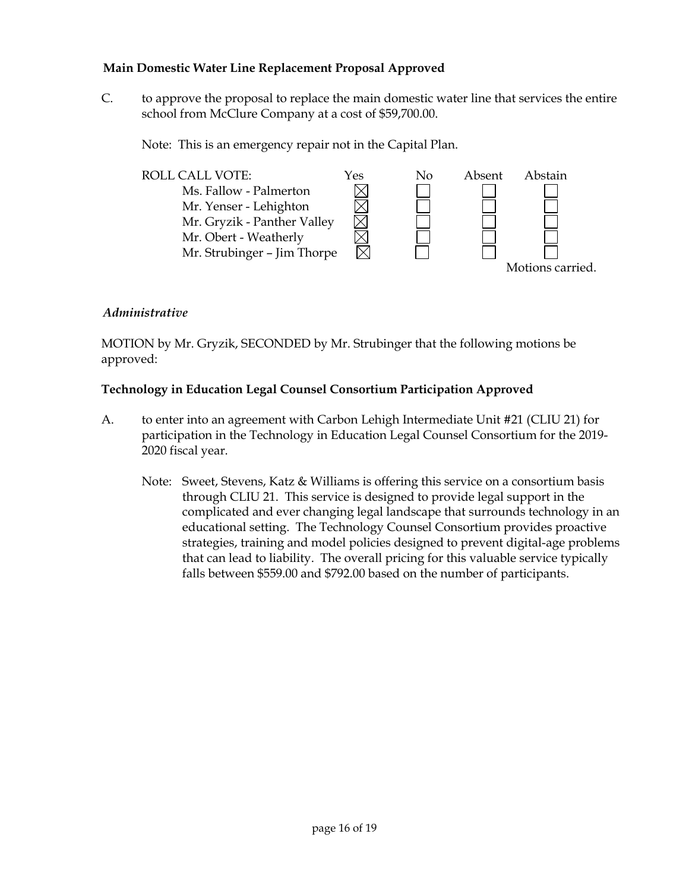## **Main Domestic Water Line Replacement Proposal Approved**

C. to approve the proposal to replace the main domestic water line that services the entire school from McClure Company at a cost of \$59,700.00.

Note: This is an emergency repair not in the Capital Plan.



## *Administrative*

MOTION by Mr. Gryzik, SECONDED by Mr. Strubinger that the following motions be approved:

## **Technology in Education Legal Counsel Consortium Participation Approved**

- A. to enter into an agreement with Carbon Lehigh Intermediate Unit #21 (CLIU 21) for participation in the Technology in Education Legal Counsel Consortium for the 2019- 2020 fiscal year.
	- Note: Sweet, Stevens, Katz & Williams is offering this service on a consortium basis through CLIU 21. This service is designed to provide legal support in the complicated and ever changing legal landscape that surrounds technology in an educational setting. The Technology Counsel Consortium provides proactive strategies, training and model policies designed to prevent digital-age problems that can lead to liability. The overall pricing for this valuable service typically falls between \$559.00 and \$792.00 based on the number of participants.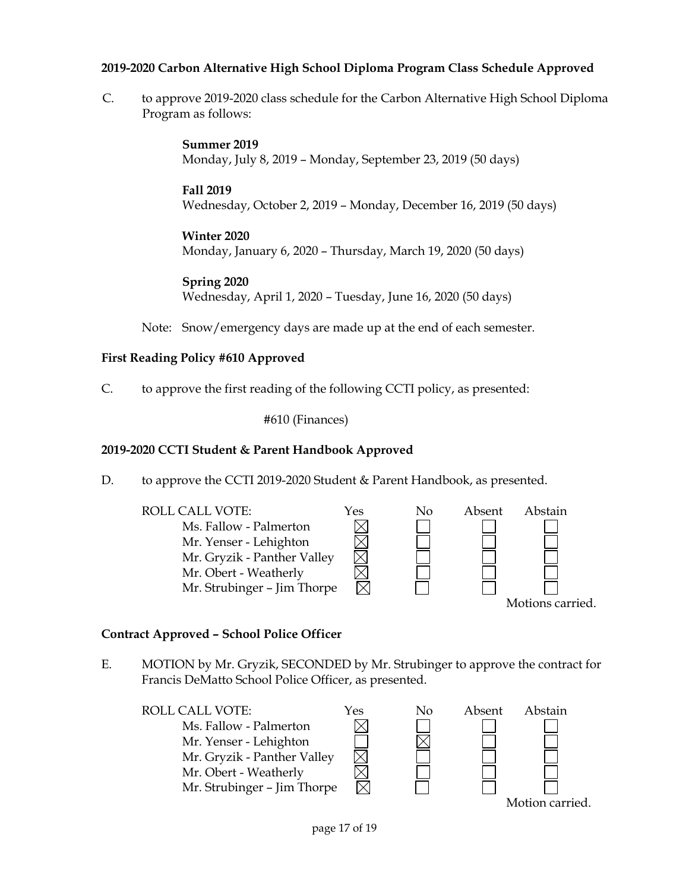## **2019-2020 Carbon Alternative High School Diploma Program Class Schedule Approved**

C. to approve 2019-2020 class schedule for the Carbon Alternative High School Diploma Program as follows:

> **Summer 2019** Monday, July 8, 2019 – Monday, September 23, 2019 (50 days)

**Fall 2019** Wednesday, October 2, 2019 – Monday, December 16, 2019 (50 days)

**Winter 2020** Monday, January 6, 2020 – Thursday, March 19, 2020 (50 days)

**Spring 2020** Wednesday, April 1, 2020 – Tuesday, June 16, 2020 (50 days)

Note: Snow/emergency days are made up at the end of each semester.

## **First Reading Policy #610 Approved**

C. to approve the first reading of the following CCTI policy, as presented:

#610 (Finances)

#### **2019-2020 CCTI Student & Parent Handbook Approved**

D. to approve the CCTI 2019-2020 Student & Parent Handbook, as presented.



**Contract Approved – School Police Officer**

E. MOTION by Mr. Gryzik, SECONDED by Mr. Strubinger to approve the contract for Francis DeMatto School Police Officer, as presented.

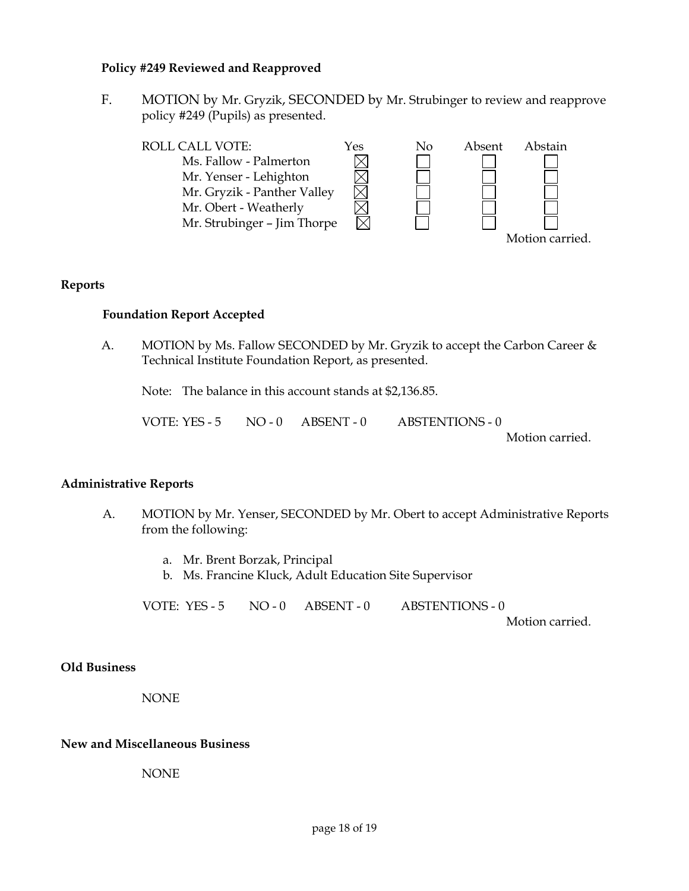#### **Policy #249 Reviewed and Reapproved**

F. MOTION by Mr. Gryzik, SECONDED by Mr. Strubinger to review and reapprove policy #249 (Pupils) as presented.



#### **Reports**

#### **Foundation Report Accepted**

A. MOTION by Ms. Fallow SECONDED by Mr. Gryzik to accept the Carbon Career & Technical Institute Foundation Report, as presented.

Note: The balance in this account stands at \$2,136.85.

| VOTE: YES - 5 | $NO - 0$ | ABSENT - 0 | ABSTENTIONS - 0 |  |
|---------------|----------|------------|-----------------|--|
|               |          |            |                 |  |

Motion carried.

#### **Administrative Reports**

- A. MOTION by Mr. Yenser, SECONDED by Mr. Obert to accept Administrative Reports from the following:
	- a. Mr. Brent Borzak, Principal
	- b. Ms. Francine Kluck, Adult Education Site Supervisor

VOTE: YES - 5 NO - 0 ABSENT - 0 ABSTENTIONS - 0

Motion carried.

#### **Old Business**

NONE

#### **New and Miscellaneous Business**

NONE